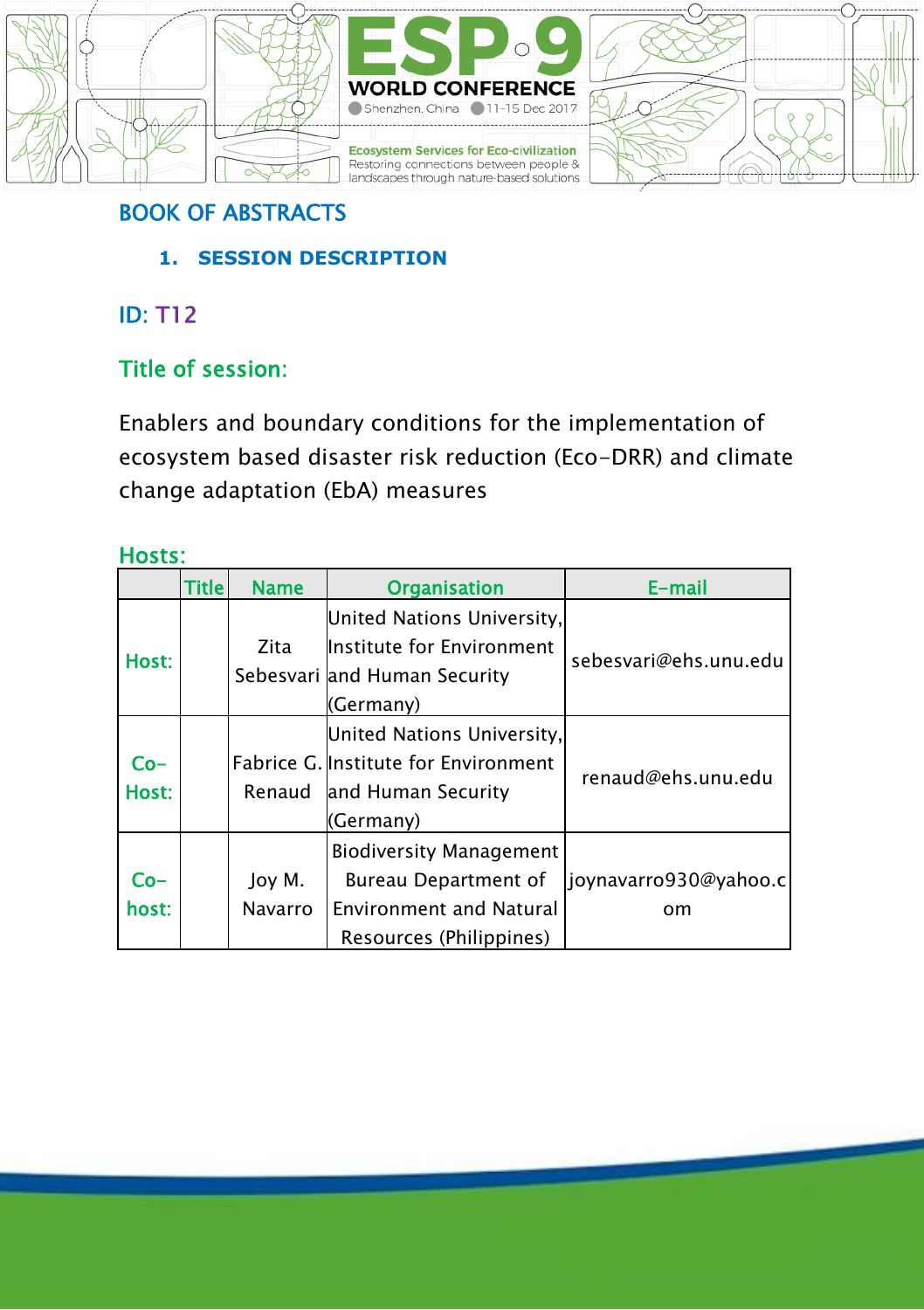





## BOOK OF ABSTRACTS

**1. SESSION DESCRIPTION**

## ID: T12

## Title of session:

Enablers and boundary conditions for the implementation of ecosystem based disaster risk reduction (Eco-DRR) and climate change adaptation (EbA) measures

### Hosts:

|              | Title | <b>Name</b>       | <b>Organisation</b>                                                                                                        | E-mail                      |  |
|--------------|-------|-------------------|----------------------------------------------------------------------------------------------------------------------------|-----------------------------|--|
| Host:        |       | Zita              | United Nations University,<br>Institute for Environment<br>Sebesvari and Human Security                                    | sebesvari@ehs.unu.edu       |  |
| Co-<br>Host: |       |                   | (Germany)<br>United Nations University,<br>Fabrice G. Institute for Environment<br>Renaud and Human Security<br>(Germany)  | renaud@ehs.unu.edu          |  |
| Co-<br>host: |       | Joy M.<br>Navarro | <b>Biodiversity Management</b><br><b>Bureau Department of</b><br><b>Environment and Natural</b><br>Resources (Philippines) | joynavarro930@yahoo.c<br>om |  |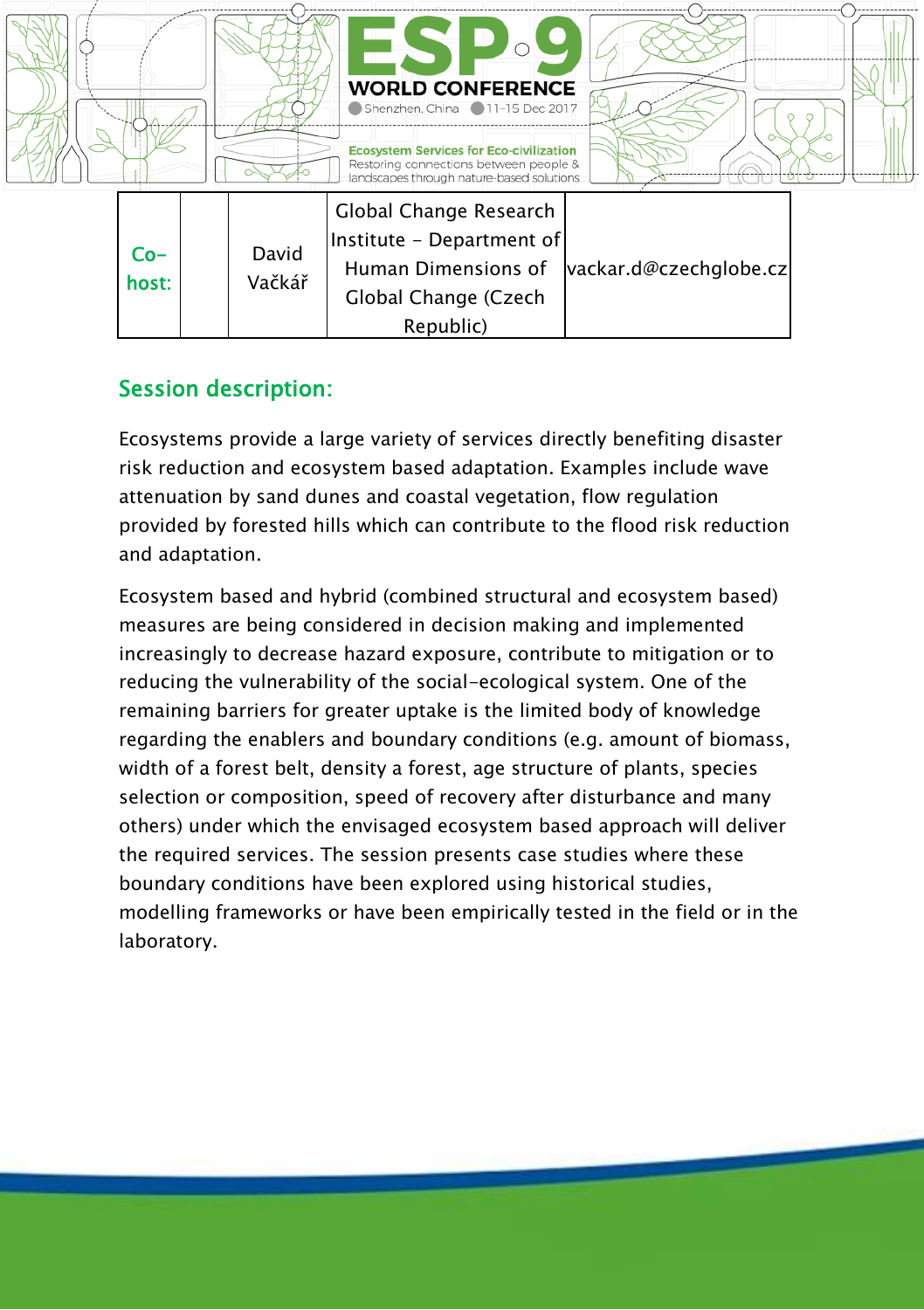

#### Session description:

Ecosystems provide a large variety of services directly benefiting disaster risk reduction and ecosystem based adaptation. Examples include wave attenuation by sand dunes and coastal vegetation, flow regulation provided by forested hills which can contribute to the flood risk reduction and adaptation.

Ecosystem based and hybrid (combined structural and ecosystem based) measures are being considered in decision making and implemented increasingly to decrease hazard exposure, contribute to mitigation or to reducing the vulnerability of the social-ecological system. One of the remaining barriers for greater uptake is the limited body of knowledge regarding the enablers and boundary conditions (e.g. amount of biomass, width of a forest belt, density a forest, age structure of plants, species selection or composition, speed of recovery after disturbance and many others) under which the envisaged ecosystem based approach will deliver the required services. The session presents case studies where these boundary conditions have been explored using historical studies, modelling frameworks or have been empirically tested in the field or in the laboratory.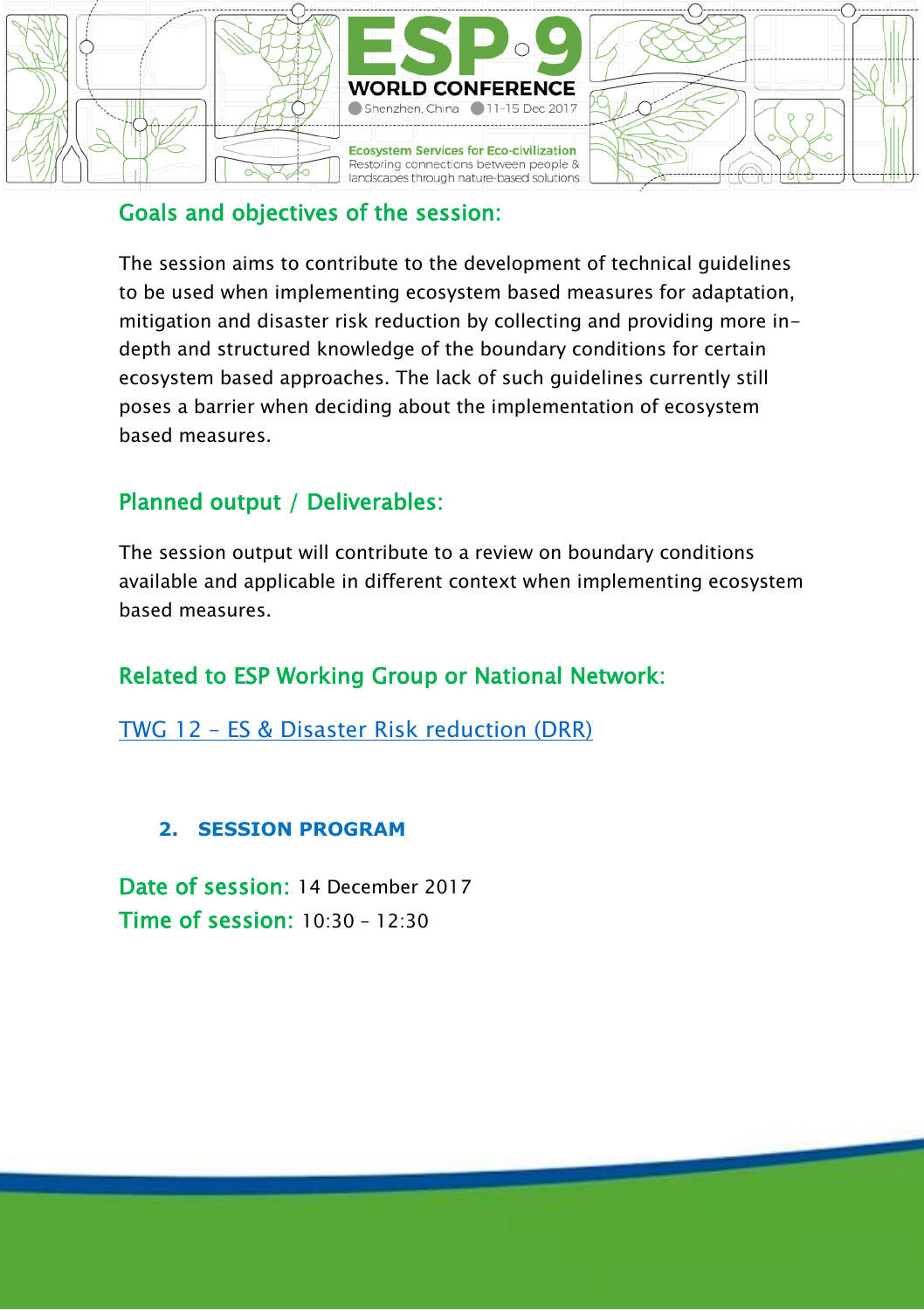

#### Goals and objectives of the session:

The session aims to contribute to the development of technical guidelines to be used when implementing ecosystem based measures for adaptation, mitigation and disaster risk reduction by collecting and providing more indepth and structured knowledge of the boundary conditions for certain ecosystem based approaches. The lack of such guidelines currently still poses a barrier when deciding about the implementation of ecosystem based measures.

### Planned output / Deliverables:

The session output will contribute to a review on boundary conditions available and applicable in different context when implementing ecosystem based measures.

### Related to ESP Working Group or National Network:

TWG 12 – [ES & Disaster Risk reduction \(DRR\)](https://www.es-partnership.org/community/workings-groups/thematic-working-groups/twg-8-es-and-disaster-risk-reduction/)

#### **2. SESSION PROGRAM**

Date of session: 14 December 2017 Time of session: 10:30 – 12:30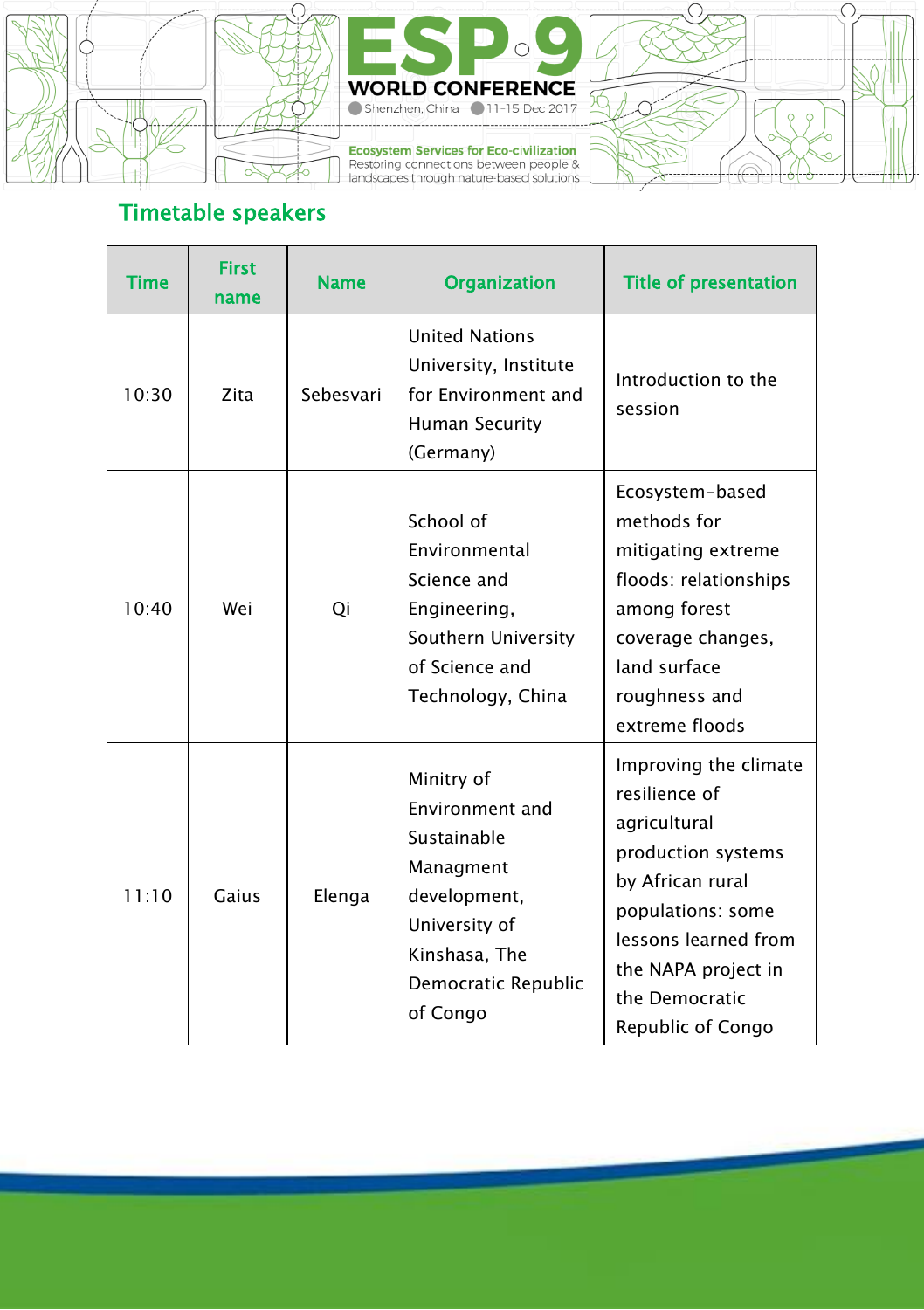



**Ecosystem Services for Eco-civilization**<br>Restoring connections between people &<br>landscapes through nature-based solutions



## Timetable speakers

| Time  | <b>First</b><br>name | <b>Name</b> | <b>Organization</b>                                                                                                                            | <b>Title of presentation</b>                                                                                                                                                                                |
|-------|----------------------|-------------|------------------------------------------------------------------------------------------------------------------------------------------------|-------------------------------------------------------------------------------------------------------------------------------------------------------------------------------------------------------------|
| 10:30 | Zita                 | Sebesvari   | <b>United Nations</b><br>University, Institute<br>for Environment and<br><b>Human Security</b><br>(Germany)                                    | Introduction to the<br>session                                                                                                                                                                              |
| 10.40 | Wei                  | Oi          | School of<br>Environmental<br>Science and<br>Engineering,<br>Southern University<br>of Science and<br>Technology, China                        | Ecosystem-based<br>methods for<br>mitigating extreme<br>floods: relationships<br>among forest<br>coverage changes,<br>land surface<br>roughness and<br>extreme floods                                       |
| 11:10 | Gaius                | Elenga      | Minitry of<br>Environment and<br>Sustainable<br>Managment<br>development,<br>University of<br>Kinshasa, The<br>Democratic Republic<br>of Congo | Improving the climate<br>resilience of<br>agricultural<br>production systems<br>by African rural<br>populations: some<br>lessons learned from<br>the NAPA project in<br>the Democratic<br>Republic of Congo |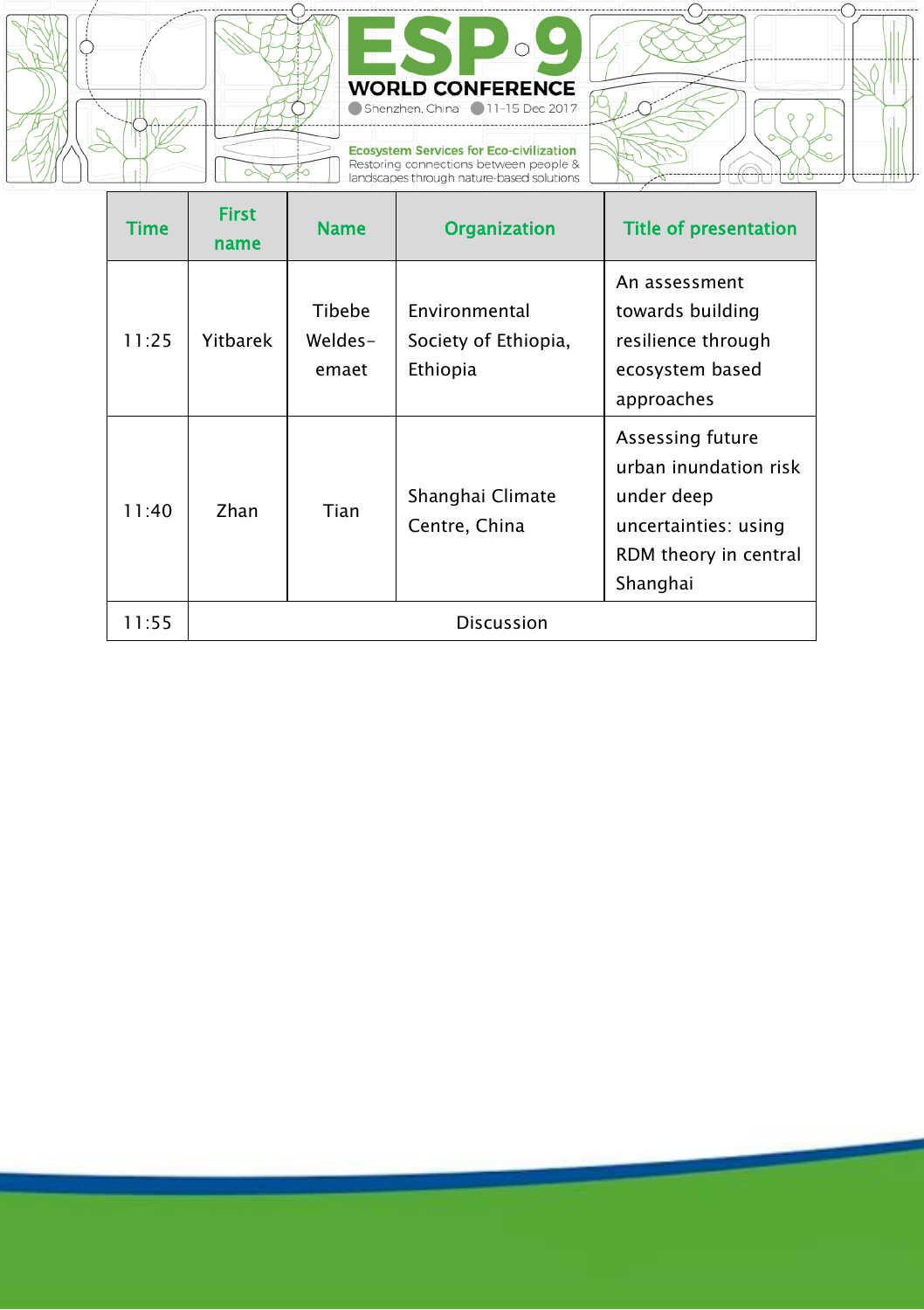



**Ecosystem Services for Eco-civilization**<br>Restoring connections between people &<br>landscapes through nature-based solutions



| Time  | <b>First</b><br>name | <b>Name</b>                | <b>Organization</b>                               | <b>Title of presentation</b>                                                                                         |  |
|-------|----------------------|----------------------------|---------------------------------------------------|----------------------------------------------------------------------------------------------------------------------|--|
| 11:25 | Yitbarek             | Tibebe<br>Weldes-<br>emaet | Environmental<br>Society of Ethiopia,<br>Ethiopia | An assessment<br>towards building<br>resilience through<br>ecosystem based<br>approaches                             |  |
| 11:40 | Zhan                 | Tian                       | Shanghai Climate<br>Centre, China                 | Assessing future<br>urban inundation risk<br>under deep<br>uncertainties: using<br>RDM theory in central<br>Shanghai |  |
| 11:55 | <b>Discussion</b>    |                            |                                                   |                                                                                                                      |  |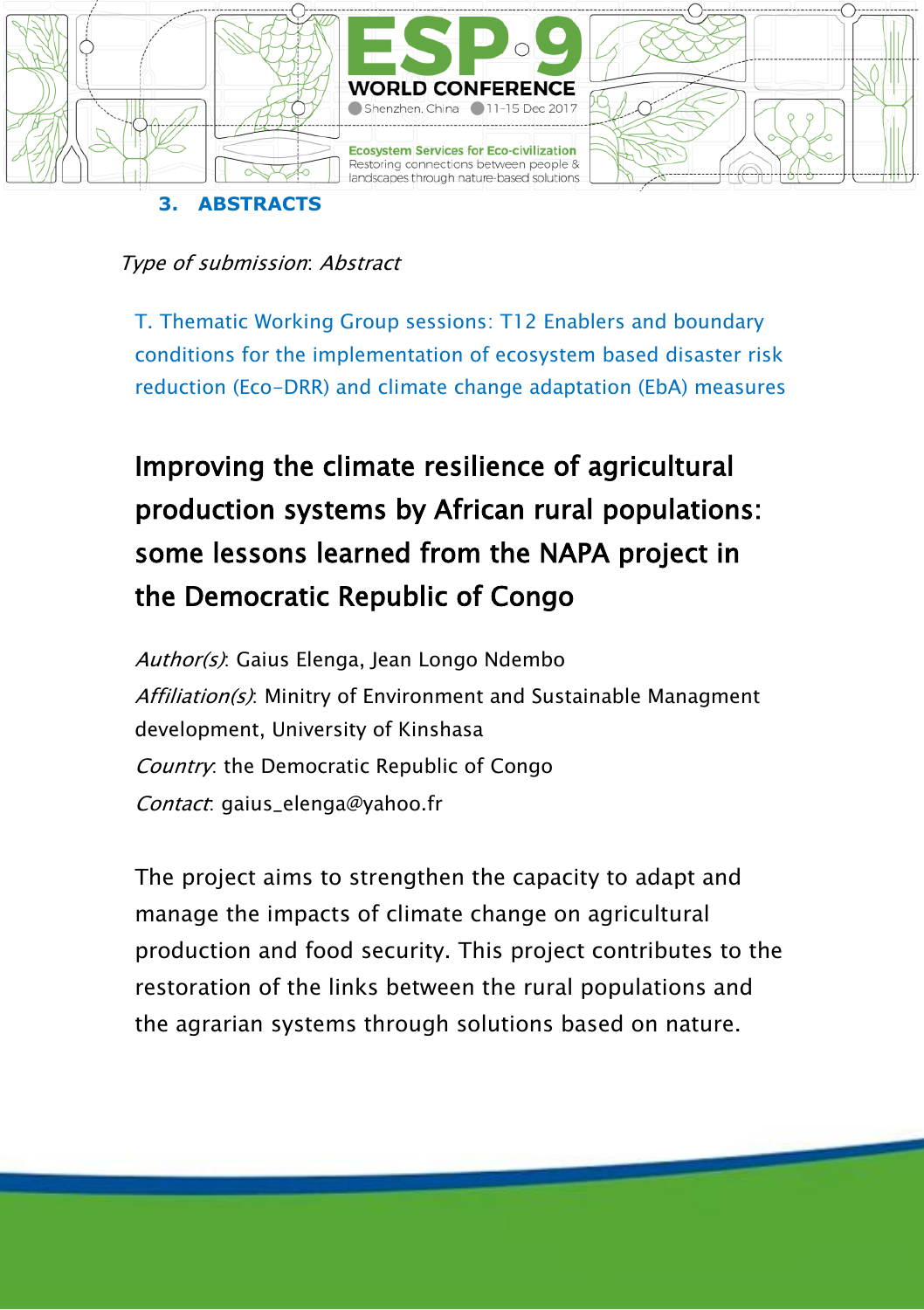

T. Thematic Working Group sessions: T12 Enablers and boundary conditions for the implementation of ecosystem based disaster risk reduction (Eco-DRR) and climate change adaptation (EbA) measures

# Improving the climate resilience of agricultural production systems by African rural populations: some lessons learned from the NAPA project in the Democratic Republic of Congo

Author(s): Gaius Elenga, Jean Longo Ndembo Affiliation(s): Minitry of Environment and Sustainable Managment development, University of Kinshasa Country: the Democratic Republic of Congo Contact: gaius\_elenga@yahoo.fr

The project aims to strengthen the capacity to adapt and manage the impacts of climate change on agricultural production and food security. This project contributes to the restoration of the links between the rural populations and the agrarian systems through solutions based on nature.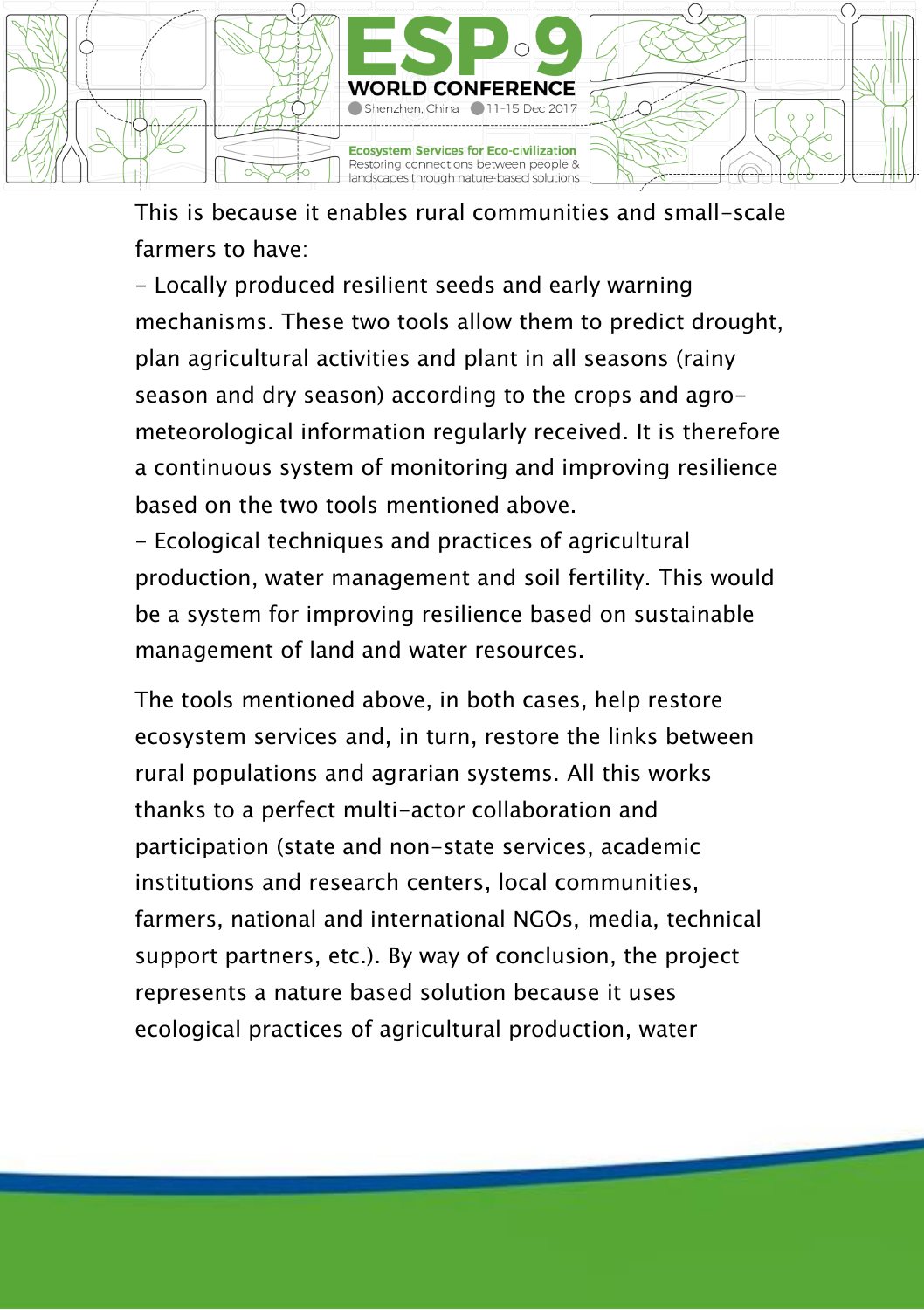

This is because it enables rural communities and small-scale farmers to have:

- Locally produced resilient seeds and early warning mechanisms. These two tools allow them to predict drought, plan agricultural activities and plant in all seasons (rainy season and dry season) according to the crops and agrometeorological information regularly received. It is therefore a continuous system of monitoring and improving resilience based on the two tools mentioned above.

- Ecological techniques and practices of agricultural production, water management and soil fertility. This would be a system for improving resilience based on sustainable management of land and water resources.

The tools mentioned above, in both cases, help restore ecosystem services and, in turn, restore the links between rural populations and agrarian systems. All this works thanks to a perfect multi-actor collaboration and participation (state and non-state services, academic institutions and research centers, local communities, farmers, national and international NGOs, media, technical support partners, etc.). By way of conclusion, the project represents a nature based solution because it uses ecological practices of agricultural production, water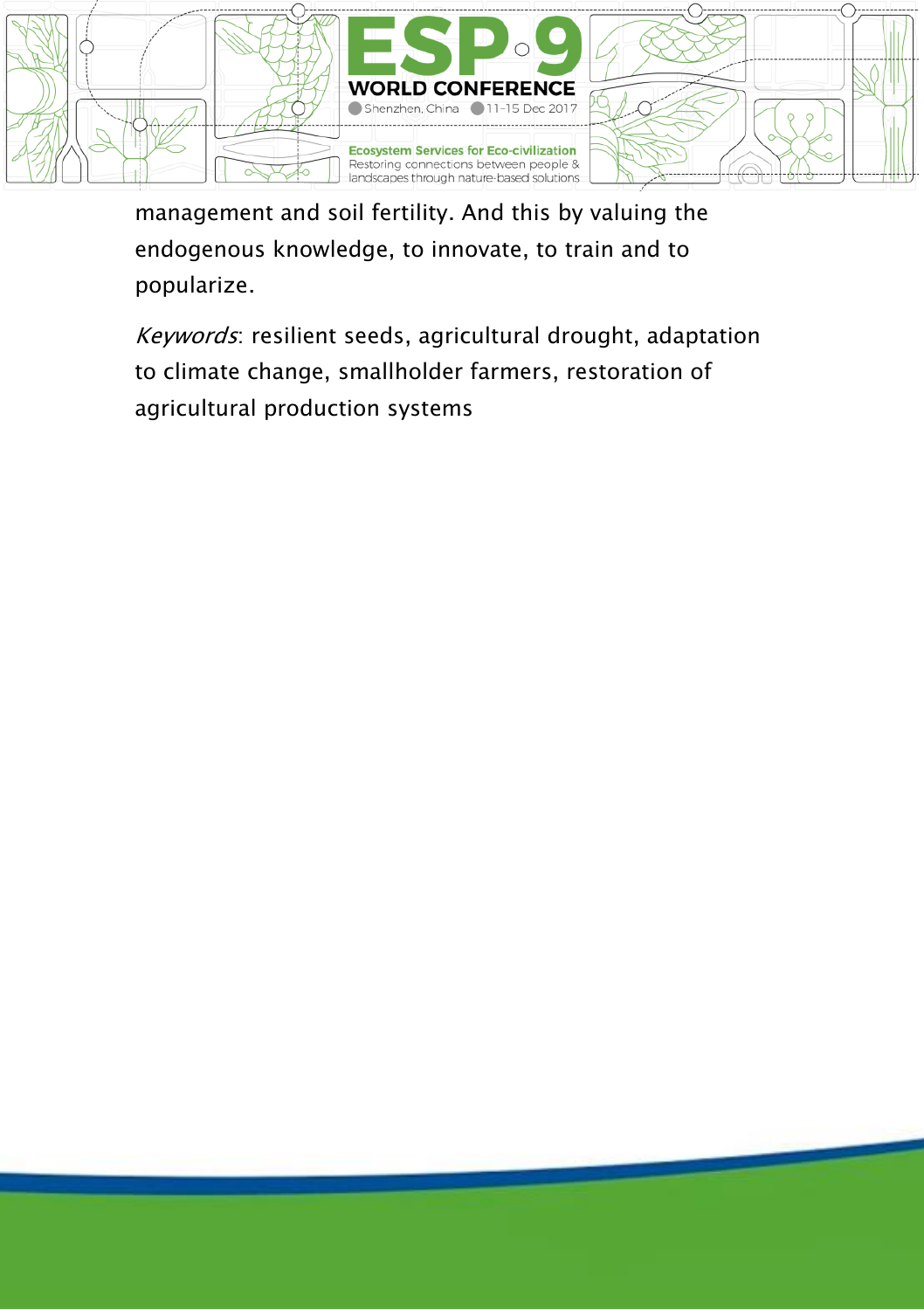

management and soil fertility. And this by valuing the endogenous knowledge, to innovate, to train and to popularize.

Keywords: resilient seeds, agricultural drought, adaptation to climate change, smallholder farmers, restoration of agricultural production systems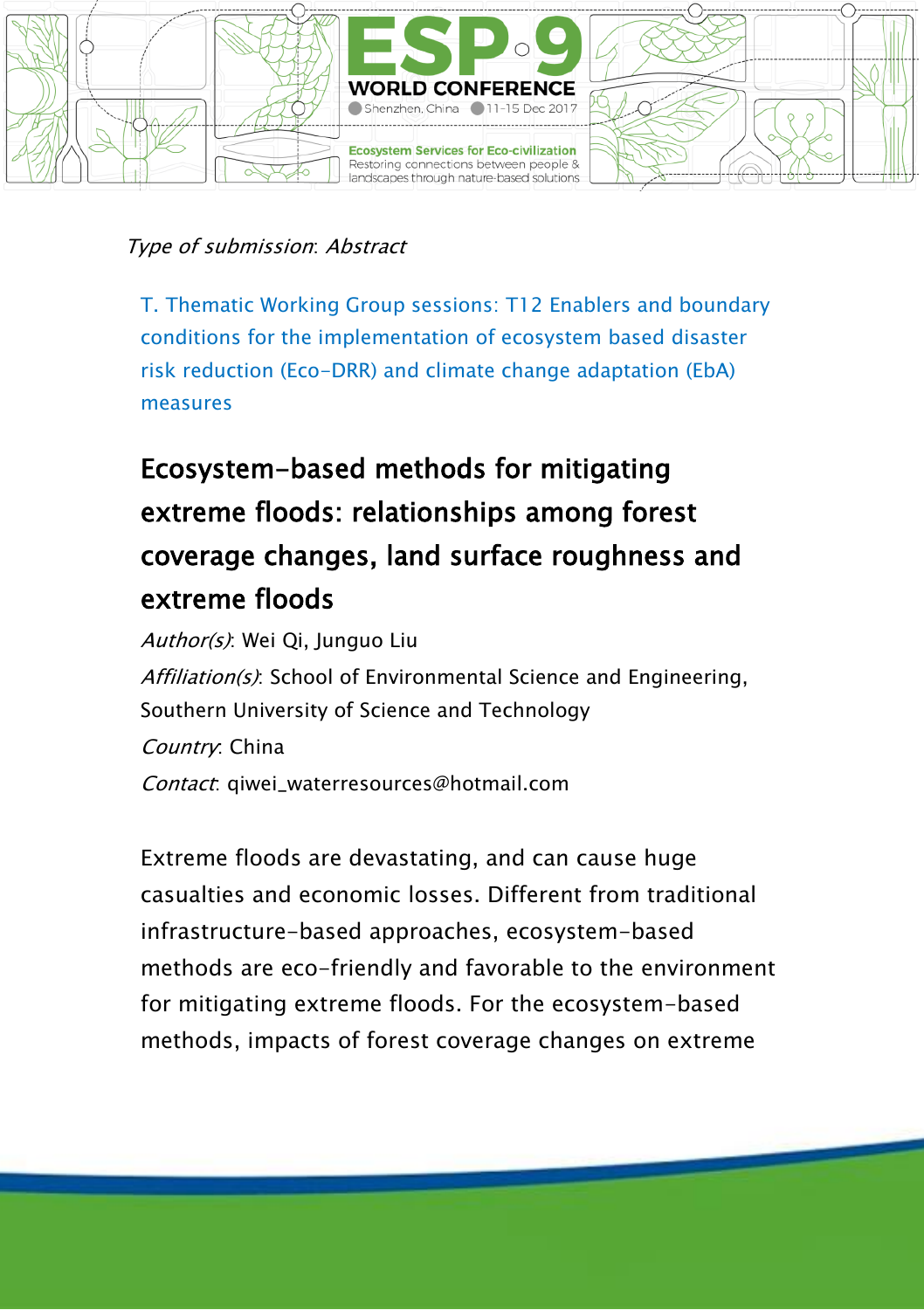

T. Thematic Working Group sessions: T12 Enablers and boundary conditions for the implementation of ecosystem based disaster risk reduction (Eco-DRR) and climate change adaptation (EbA) measures

## Ecosystem-based methods for mitigating extreme floods: relationships among forest coverage changes, land surface roughness and extreme floods

Author(s): Wei Qi, Junguo Liu Affiliation(s): School of Environmental Science and Engineering, Southern University of Science and Technology Country: China Contact: giwei\_waterresources@hotmail.com

Extreme floods are devastating, and can cause huge casualties and economic losses. Different from traditional infrastructure-based approaches, ecosystem-based methods are eco-friendly and favorable to the environment for mitigating extreme floods. For the ecosystem-based methods, impacts of forest coverage changes on extreme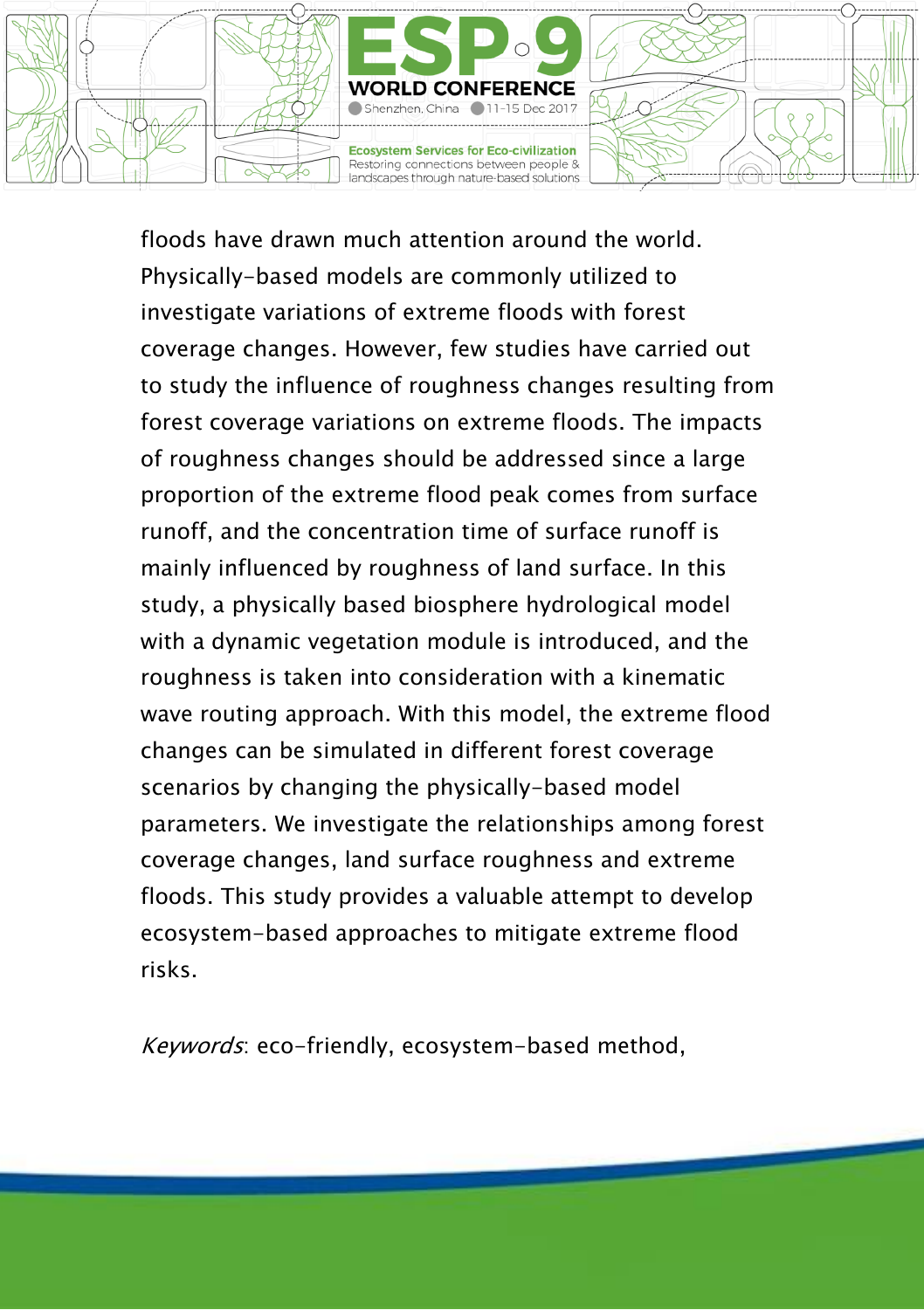

floods have drawn much attention around the world. Physically-based models are commonly utilized to investigate variations of extreme floods with forest coverage changes. However, few studies have carried out to study the influence of roughness changes resulting from forest coverage variations on extreme floods. The impacts of roughness changes should be addressed since a large proportion of the extreme flood peak comes from surface runoff, and the concentration time of surface runoff is mainly influenced by roughness of land surface. In this study, a physically based biosphere hydrological model with a dynamic vegetation module is introduced, and the roughness is taken into consideration with a kinematic wave routing approach. With this model, the extreme flood changes can be simulated in different forest coverage scenarios by changing the physically-based model parameters. We investigate the relationships among forest coverage changes, land surface roughness and extreme floods. This study provides a valuable attempt to develop ecosystem-based approaches to mitigate extreme flood risks.

Keywords: eco-friendly, ecosystem-based method,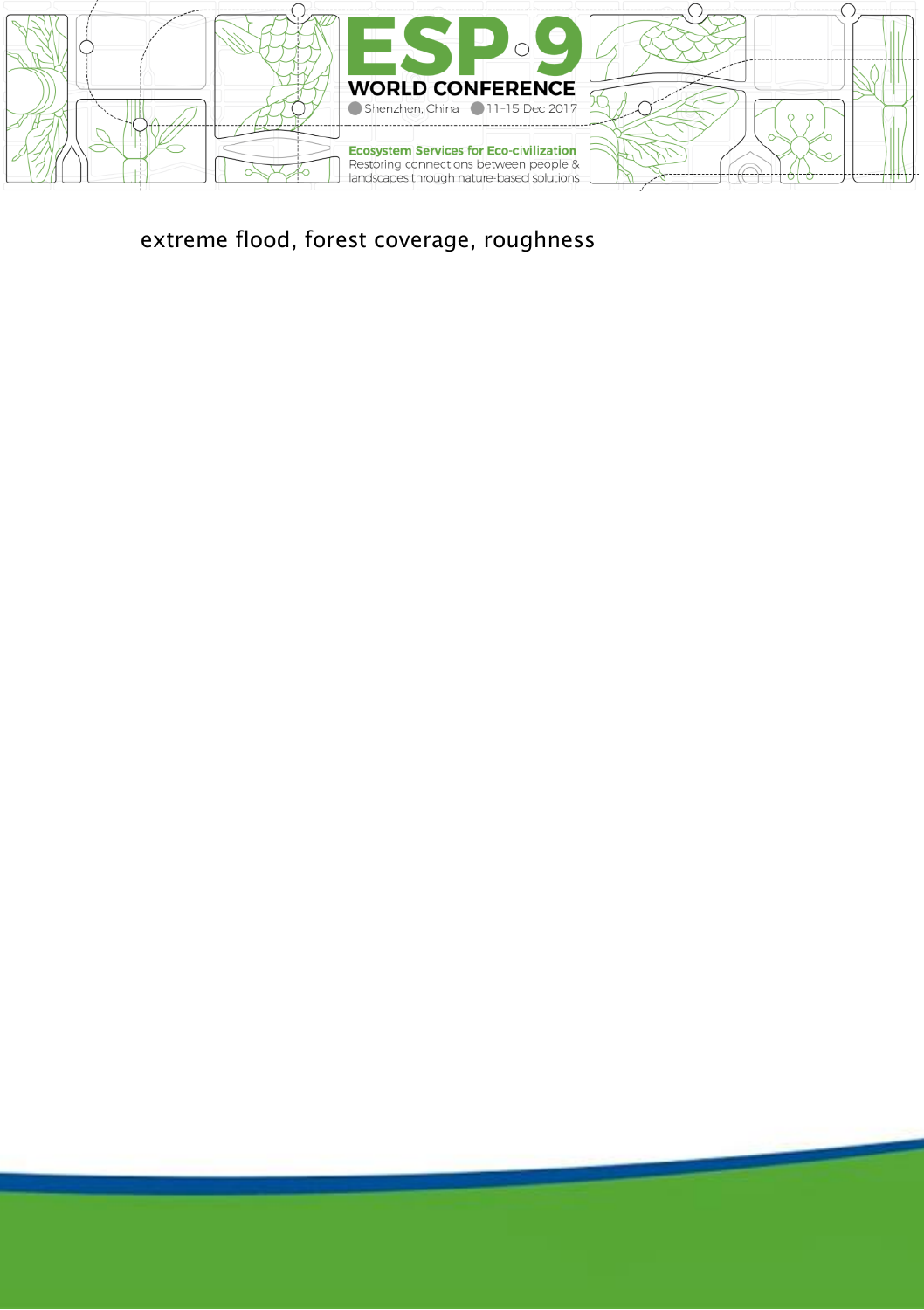

extreme flood, forest coverage, roughness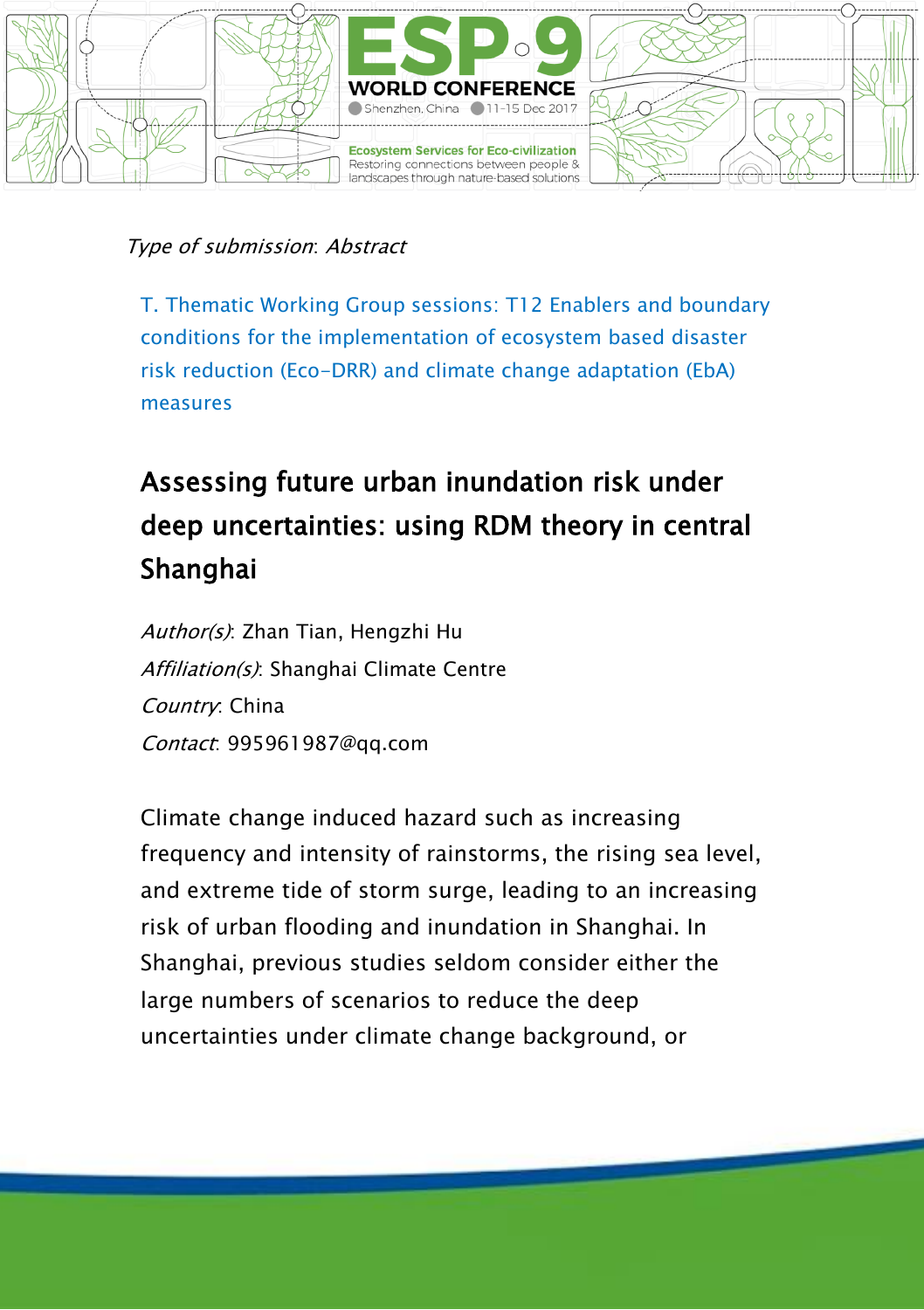

T. Thematic Working Group sessions: T12 Enablers and boundary conditions for the implementation of ecosystem based disaster risk reduction (Eco-DRR) and climate change adaptation (EbA) measures

## Assessing future urban inundation risk under deep uncertainties: using RDM theory in central Shanghai

Author(s): Zhan Tian, Hengzhi Hu Affiliation(s): Shanghai Climate Centre Country: China Contact: 995961987@qq.com

Climate change induced hazard such as increasing frequency and intensity of rainstorms, the rising sea level, and extreme tide of storm surge, leading to an increasing risk of urban flooding and inundation in Shanghai. In Shanghai, previous studies seldom consider either the large numbers of scenarios to reduce the deep uncertainties under climate change background, or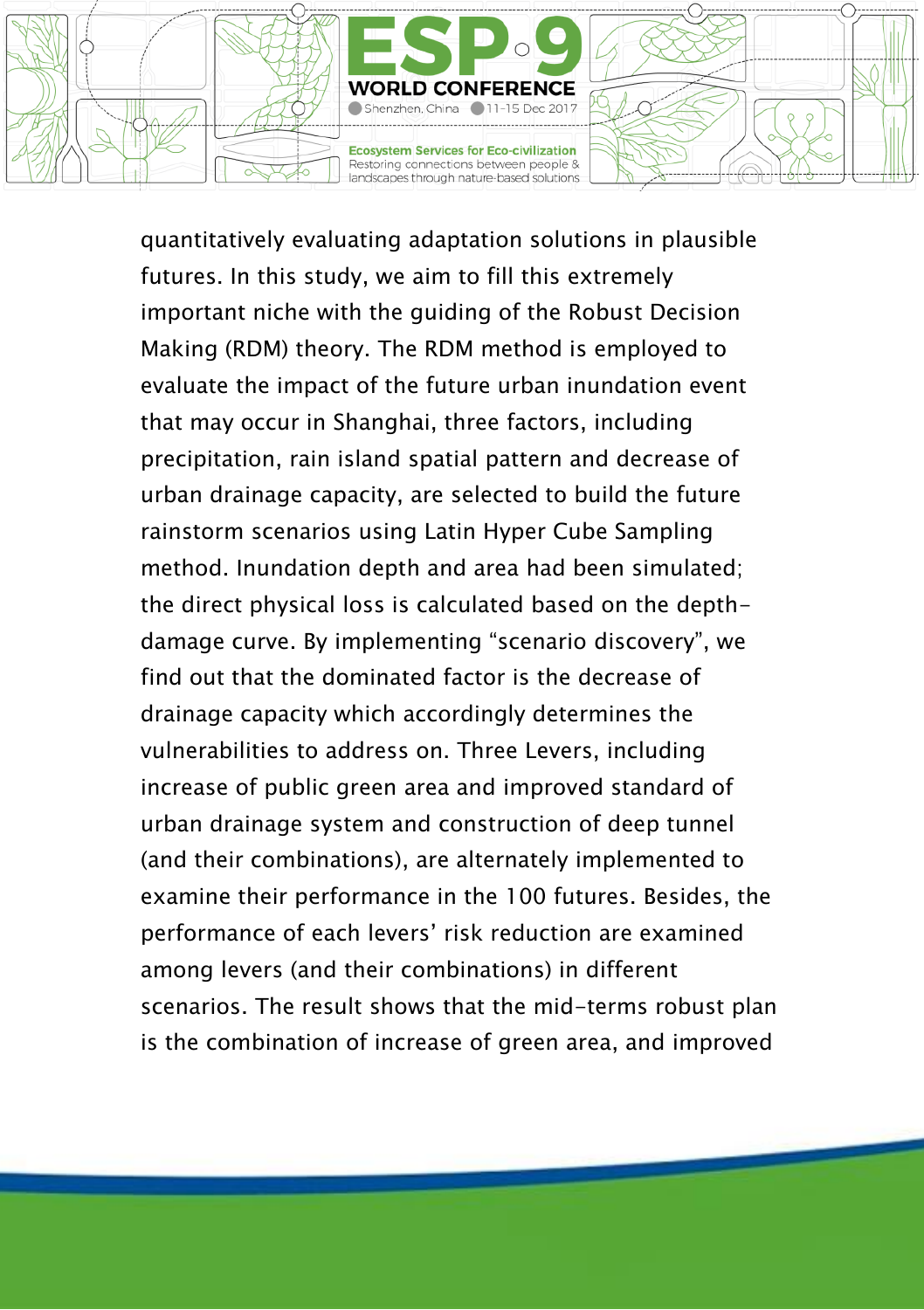

quantitatively evaluating adaptation solutions in plausible futures. In this study, we aim to fill this extremely important niche with the guiding of the Robust Decision Making (RDM) theory. The RDM method is employed to evaluate the impact of the future urban inundation event that may occur in Shanghai, three factors, including precipitation, rain island spatial pattern and decrease of urban drainage capacity, are selected to build the future rainstorm scenarios using Latin Hyper Cube Sampling method. Inundation depth and area had been simulated; the direct physical loss is calculated based on the depthdamage curve. By implementing "scenario discovery", we find out that the dominated factor is the decrease of drainage capacity which accordingly determines the vulnerabilities to address on. Three Levers, including increase of public green area and improved standard of urban drainage system and construction of deep tunnel (and their combinations), are alternately implemented to examine their performance in the 100 futures. Besides, the performance of each levers' risk reduction are examined among levers (and their combinations) in different scenarios. The result shows that the mid-terms robust plan is the combination of increase of green area, and improved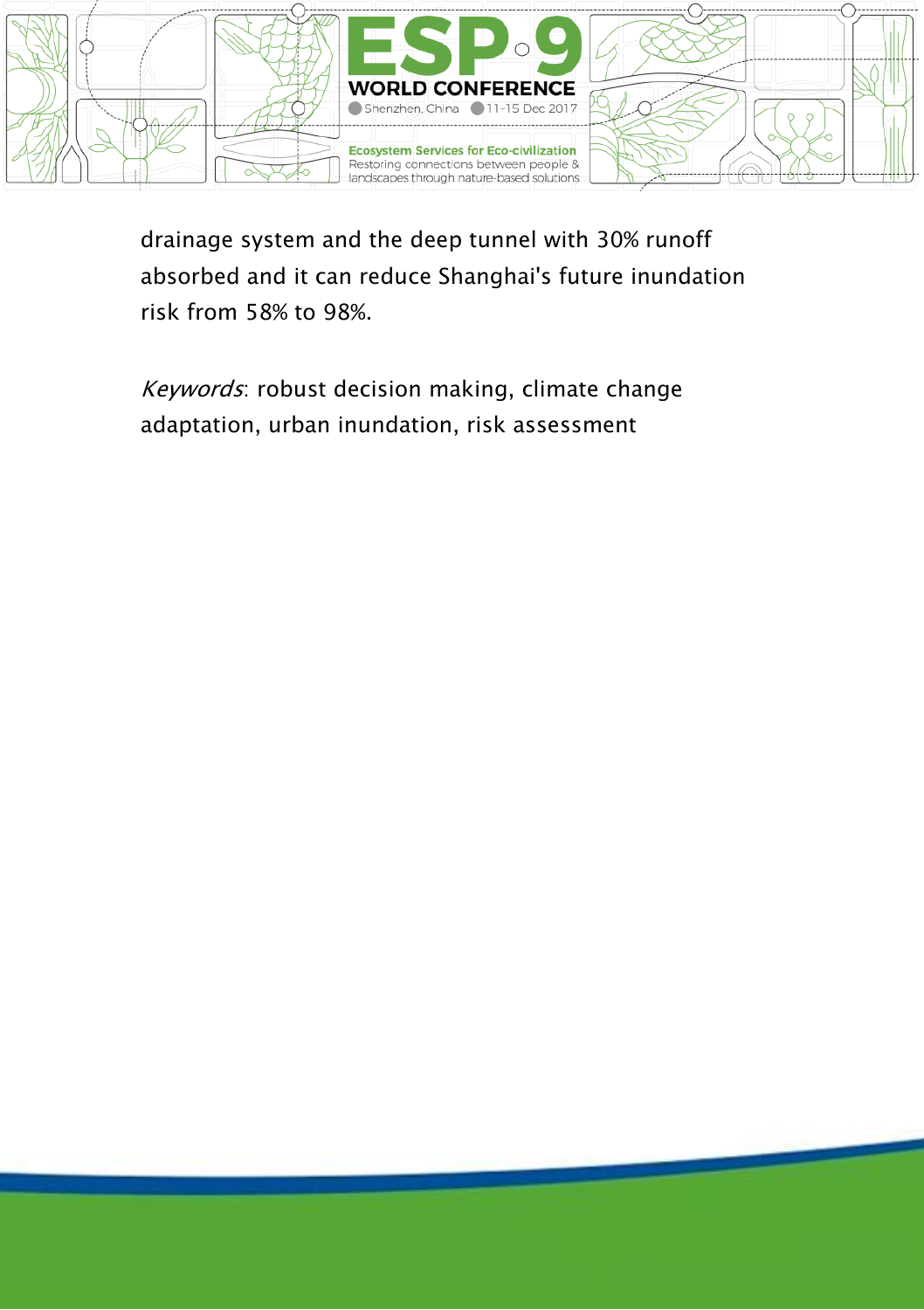

drainage system and the deep tunnel with 30% runoff absorbed and it can reduce Shanghai's future inundation risk from 58% to 98%.

Keywords: robust decision making, climate change adaptation, urban inundation, risk assessment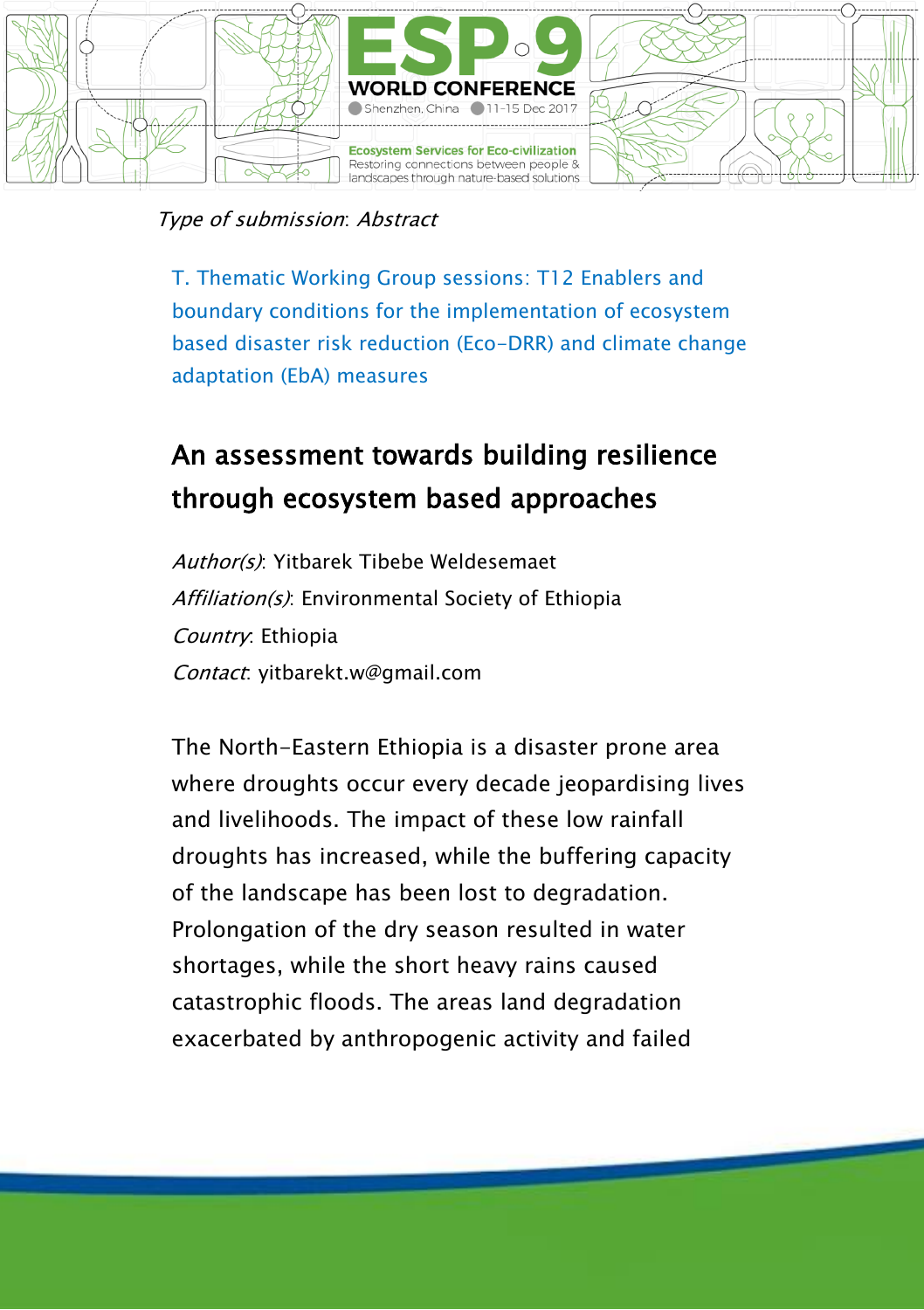

T. Thematic Working Group sessions: T12 Enablers and boundary conditions for the implementation of ecosystem based disaster risk reduction (Eco-DRR) and climate change adaptation (EbA) measures

## An assessment towards building resilience through ecosystem based approaches

Author(s): Yitbarek Tibebe Weldesemaet Affiliation(s): Environmental Society of Ethiopia Country: Ethiopia Contact: yitbarekt.w@gmail.com

The North-Eastern Ethiopia is a disaster prone area where droughts occur every decade jeopardising lives and livelihoods. The impact of these low rainfall droughts has increased, while the buffering capacity of the landscape has been lost to degradation. Prolongation of the dry season resulted in water shortages, while the short heavy rains caused catastrophic floods. The areas land degradation exacerbated by anthropogenic activity and failed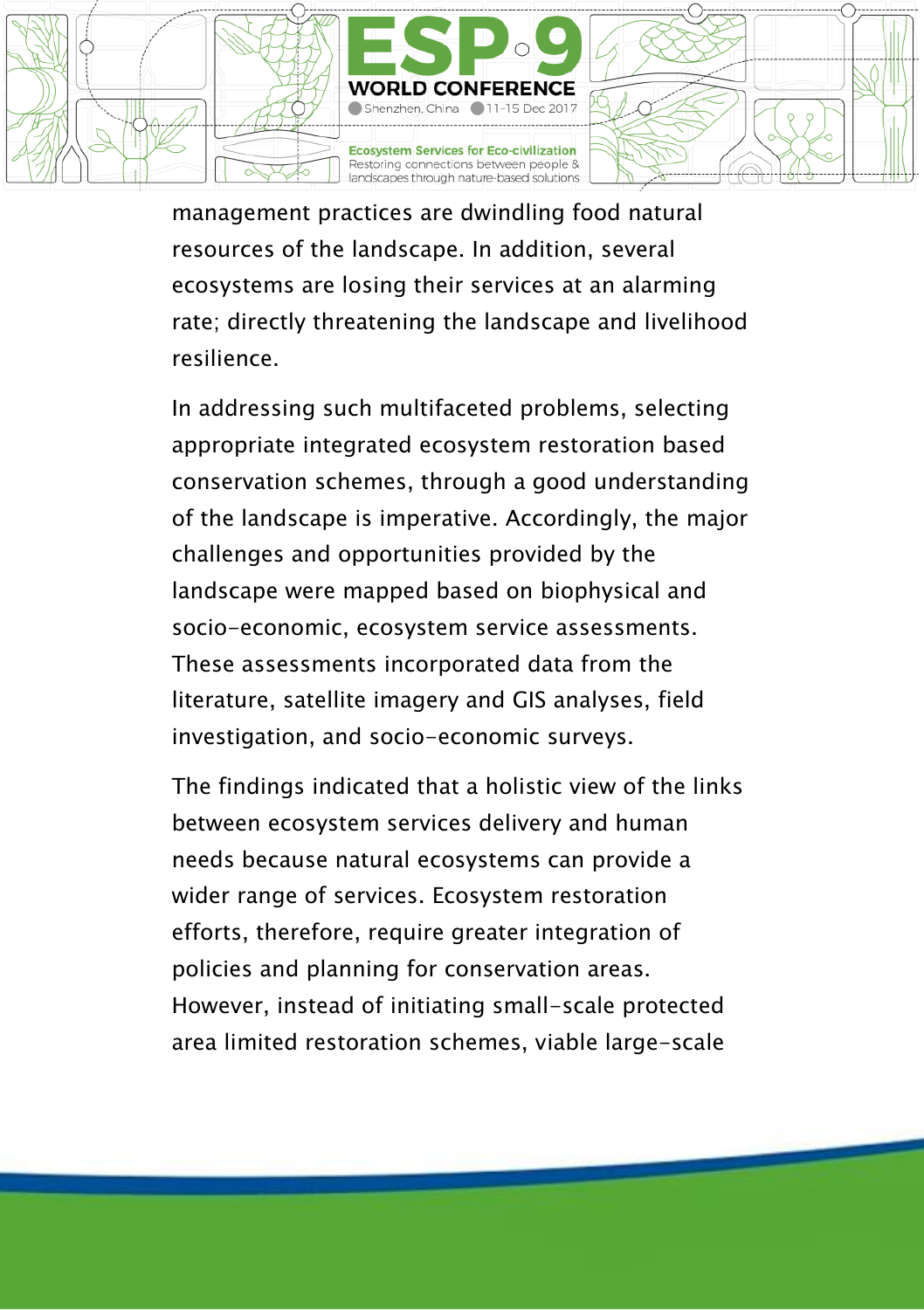

management practices are dwindling food natural resources of the landscape. In addition, several ecosystems are losing their services at an alarming rate; directly threatening the landscape and livelihood resilience.

In addressing such multifaceted problems, selecting appropriate integrated ecosystem restoration based conservation schemes, through a good understanding of the landscape is imperative. Accordingly, the major challenges and opportunities provided by the landscape were mapped based on biophysical and socio-economic, ecosystem service assessments. These assessments incorporated data from the literature, satellite imagery and GIS analyses, field investigation, and socio-economic surveys.

The findings indicated that a holistic view of the links between ecosystem services delivery and human needs because natural ecosystems can provide a wider range of services. Ecosystem restoration efforts, therefore, require greater integration of policies and planning for conservation areas. However, instead of initiating small-scale protected area limited restoration schemes, viable large-scale